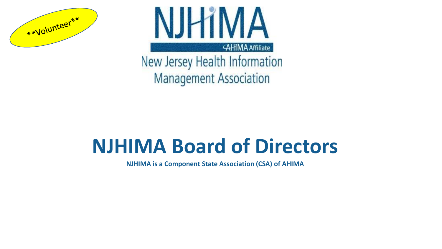



New Jersey Health Information **Management Association** 

# **NJHIMA Board of Directors**

**NJHIMA is a Component State Association (CSA) of AHIMA**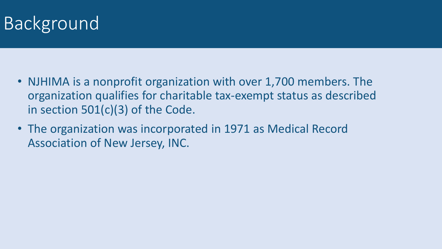## Background

- NJHIMA is a nonprofit organization with over 1,700 members. The organization qualifies for charitable tax-exempt status as described in section 501(c)(3) of the Code.
- The organization was incorporated in 1971 as Medical Record Association of New Jersey, INC.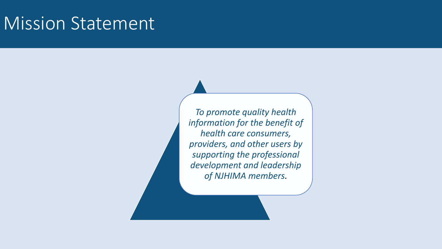#### Mission Statement

*To promote quality health information for the benefit of health care consumers, providers, and other users by supporting the professional development and leadership of NJHIMA members.*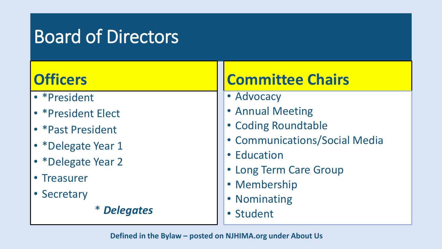## Board of Directors

| <b>Officers</b>     | <b>Committee Chairs</b>                      |  |  |
|---------------------|----------------------------------------------|--|--|
| • * President       | • Advocacy                                   |  |  |
| • * President Elect | • Annual Meeting                             |  |  |
| • * Past President  | • Coding Roundtable                          |  |  |
| • *Delegate Year 1  | • Communications/Social Media<br>• Education |  |  |
| • *Delegate Year 2  |                                              |  |  |
| • Treasurer         | • Long Term Care Group                       |  |  |
|                     | • Membership                                 |  |  |
| • Secretary         | • Nominating                                 |  |  |
| <i>* Delegates</i>  | · Student                                    |  |  |

**Defined in the Bylaw – posted on NJHIMA.org under About Us**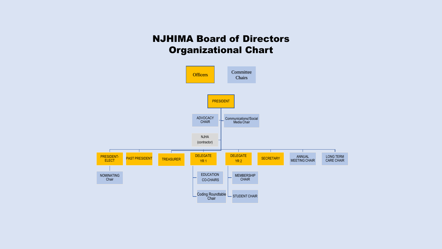#### NJHIMA Board of Directors Organizational Chart

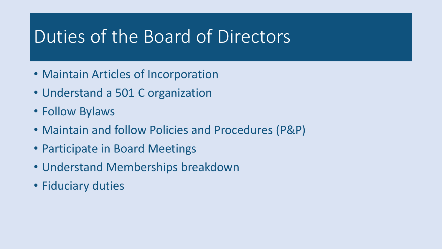### Duties of the Board of Directors

- Maintain Articles of Incorporation
- Understand a 501 C organization
- Follow Bylaws
- Maintain and follow Policies and Procedures (P&P)
- Participate in Board Meetings
- Understand Memberships breakdown
- Fiduciary duties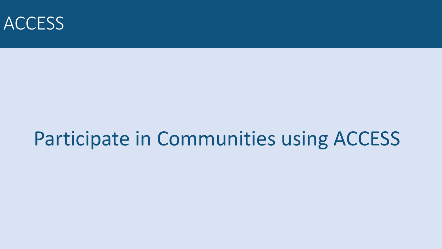

# Participate in Communities using ACCESS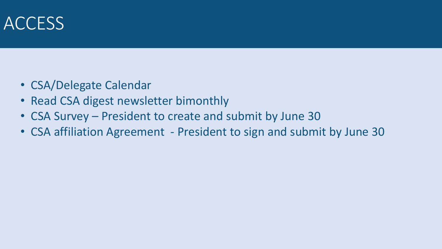#### ACCESS

- CSA/Delegate Calendar
- Read CSA digest newsletter bimonthly
- CSA Survey President to create and submit by June 30
- CSA affiliation Agreement President to sign and submit by June 30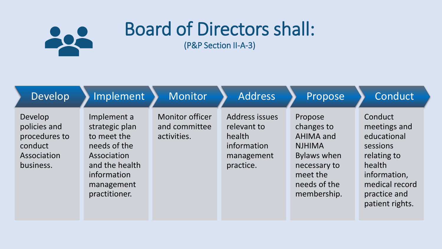

# Board of Directors shall:

(P&P Section II-A-3)

| Develop                                                                         | Implement                                                                                                                                   | Monitor                                                | <b>Address</b>                                                                    | Propose                                                                                                                                     | Conduct                                                                                                                                          |
|---------------------------------------------------------------------------------|---------------------------------------------------------------------------------------------------------------------------------------------|--------------------------------------------------------|-----------------------------------------------------------------------------------|---------------------------------------------------------------------------------------------------------------------------------------------|--------------------------------------------------------------------------------------------------------------------------------------------------|
| Develop<br>policies and<br>procedures to<br>conduct<br>Association<br>business. | Implement a<br>strategic plan<br>to meet the<br>needs of the<br>Association<br>and the health<br>information<br>management<br>practitioner. | <b>Monitor officer</b><br>and committee<br>activities. | Address issues<br>relevant to<br>health<br>information<br>management<br>practice. | Propose<br>changes to<br><b>AHIMA and</b><br><b>NJHIMA</b><br><b>Bylaws when</b><br>necessary to<br>meet the<br>needs of the<br>membership. | Conduct<br>meetings and<br>educational<br>sessions<br>relating to<br>health<br>information,<br>medical record<br>practice and<br>patient rights. |